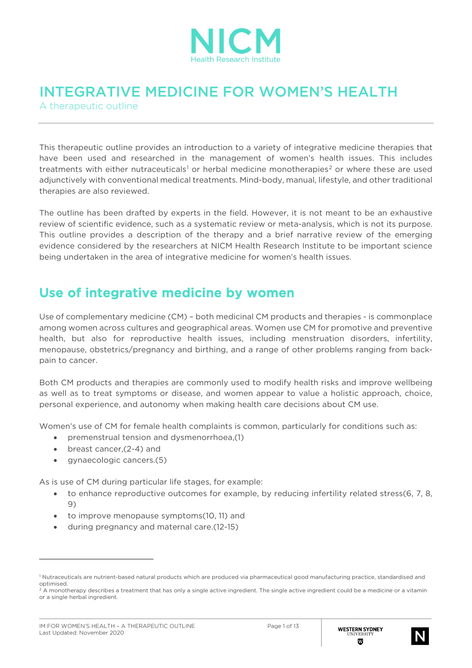

# INTEGRATIVE MEDICINE FOR WOMEN'S HEALTH

A therapeutic outline

This therapeutic outline provides an introduction to a variety of integrative medicine therapies that have been used and researched in the management of women's health issues. This includes treatments with either nutraceuticals<sup>[1](#page-0-0)</sup> or herbal medicine monotherapies<sup>[2](#page-0-1)</sup> or where these are used adjunctively with conventional medical treatments. Mind-body, manual, lifestyle, and other traditional therapies are also reviewed.

The outline has been drafted by experts in the field. However, it is not meant to be an exhaustive review of scientific evidence, such as a systematic review or meta-analysis, which is not its purpose. This outline provides a description of the therapy and a brief narrative review of the emerging evidence considered by the researchers at NICM Health Research Institute to be important science being undertaken in the area of integrative medicine for women's health issues.

### Use of integrative medicine by women

Use of complementary medicine (CM) – both medicinal CM products and therapies - is commonplace among women across cultures and geographical areas. Women use CM for promotive and preventive health, but also for reproductive health issues, including menstruation disorders, infertility, menopause, obstetrics/pregnancy and birthing, and a range of other problems ranging from backpain to cancer.

Both CM products and therapies are commonly used to modify health risks and improve wellbeing as well as to treat symptoms or disease, and women appear to value a holistic approach, choice, personal experience, and autonomy when making health care decisions about CM use.

Women's use of CM for female health complaints is common, particularly for conditions such as:

- premenstrual tension and dysmenorrhoea,(1)
- breast cancer,(2-4) and
- gynaecologic cancers.(5)

As is use of CM during particular life stages, for example:

- to enhance reproductive outcomes for example, by reducing infertility related stress(6, 7, 8, 9)
- to improve menopause symptoms(10, 11) and
- during pregnancy and maternal care.(12-15)



<span id="page-0-0"></span><sup>1</sup> Nutraceuticals are nutrient-based natural products which are produced via pharmaceutical good manufacturing practice, standardised and optimised.

<span id="page-0-1"></span><sup>&</sup>lt;sup>2</sup> A monotherapy describes a treatment that has only a single active ingredient. The single active ingredient could be a medicine or a vitamin or a single herbal ingredient.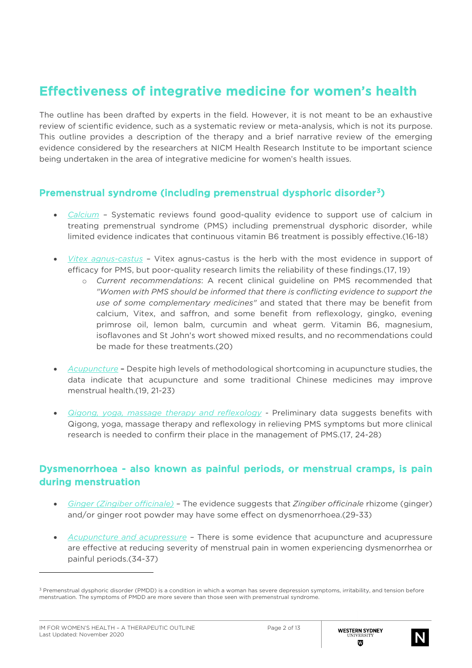## Effectiveness of integrative medicine for women's health

The outline has been drafted by experts in the field. However, it is not meant to be an exhaustive review of scientific evidence, such as a systematic review or meta-analysis, which is not its purpose. This outline provides a description of the therapy and a brief narrative review of the emerging evidence considered by the researchers at NICM Health Research Institute to be important science being undertaken in the area of integrative medicine for women's health issues.

### Premenstrual syndrome (including premenstrual dysphoric disorder[3](#page-1-0))

- *Calcium –* Systematic reviews found good-quality evidence to support use of calcium in treating premenstrual syndrome (PMS) including premenstrual dysphoric disorder, while limited evidence indicates that continuous vitamin B6 treatment is possibly effective.(16-18)
- *Vitex agnus-castus –* Vitex agnus-castus is the herb with the most evidence in support of efficacy for PMS, but poor-quality research limits the reliability of these findings.(17, 19)
	- o *Current recommendations*: A recent clinical guideline on PMS recommended that *"Women with PMS should be informed that there is conflicting evidence to support the use of some complementary medicines"* and stated that there may be benefit from calcium, Vitex, and saffron, and some benefit from reflexology, gingko, evening primrose oil, lemon balm, curcumin and wheat germ. Vitamin B6, magnesium, isoflavones and St John's wort showed mixed results, and no recommendations could be made for these treatments.(20)
- *Acupuncture* Despite high levels of methodological shortcoming in acupuncture studies, the data indicate that acupuncture and some traditional Chinese medicines may improve menstrual health.(19, 21-23)
- *Qigong, yoga, massage therapy and reflexology* Preliminary data suggests benefits with Qigong, yoga, massage therapy and reflexology in relieving PMS symptoms but more clinical research is needed to confirm their place in the management of PMS.(17, 24-28)

#### Dysmenorrhoea - also known as painful periods, or menstrual cramps, is pain during menstruation

- *Ginger (Zingiber officinale) –* The evidence suggests that *Zingiber officinale* rhizome (ginger) and/or ginger root powder may have some effect on dysmenorrhoea.(29-33)
- *Acupuncture and acupressure –* There is some evidence that acupuncture and acupressure are effective at reducing severity of menstrual pain in women experiencing dysmenorrhea or painful periods.(34-37)



<span id="page-1-0"></span><sup>&</sup>lt;sup>3</sup> Premenstrual dysphoric disorder (PMDD) is a condition in which a woman has severe depression symptoms, irritability, and tension before menstruation. The symptoms of PMDD are more severe than those seen with premenstrual syndrome.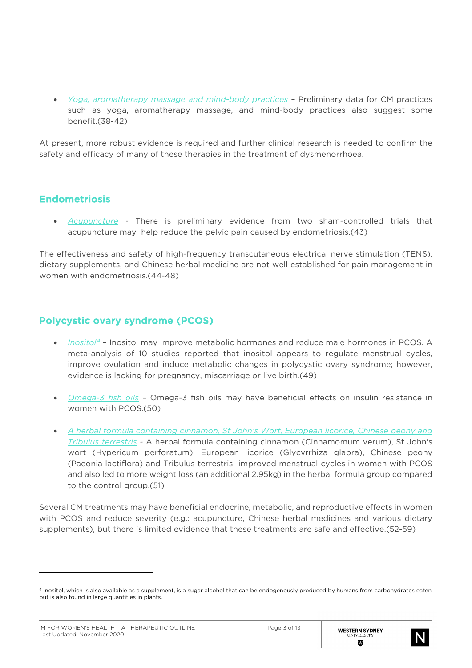• *Yoga, aromatherapy massage and mind-body practices –* Preliminary data for CM practices such as yoga, aromatherapy massage, and mind-body practices also suggest some benefit.(38-42)

At present, more robust evidence is required and further clinical research is needed to confirm the safety and efficacy of many of these therapies in the treatment of dysmenorrhoea.

#### Endometriosis

• *Acupuncture -* There is preliminary evidence from two sham-controlled trials that acupuncture may help reduce the pelvic pain caused by endometriosis.(43)

The effectiveness and safety of high-frequency transcutaneous electrical nerve stimulation (TENS), dietary supplements, and Chinese herbal medicine are not well established for pain management in women with endometriosis.(44-48)

#### Polycystic ovary syndrome (PCOS)

- *Inositol [4](#page-2-0)* Inositol may improve metabolic hormones and reduce male hormones in PCOS. A meta-analysis of 10 studies reported that inositol appears to regulate menstrual cycles, improve ovulation and induce metabolic changes in polycystic ovary syndrome; however, evidence is lacking for pregnancy, miscarriage or live birth.(49)
- *Omega-3 fish oils –* Omega-3 fish oils may have beneficial effects on insulin resistance in women with PCOS.(50)
- *A herbal formula containing cinnamon, St John's Wort, European licorice, Chinese peony and Tribulus terrestris -* A herbal formula containing cinnamon (Cinnamomum verum), St John's wort (Hypericum perforatum), European licorice (Glycyrrhiza glabra), Chinese peony (Paeonia lactiflora) and Tribulus terrestris improved menstrual cycles in women with PCOS and also led to more weight loss (an additional 2.95kg) in the herbal formula group compared to the control group.(51)

Several CM treatments may have beneficial endocrine, metabolic, and reproductive effects in women with PCOS and reduce severity (e.g.: acupuncture, Chinese herbal medicines and various dietary supplements), but there is limited evidence that these treatments are safe and effective.(52-59)



<span id="page-2-0"></span><sup>4</sup> Inositol, which is also available as a supplement, is a sugar alcohol that can be endogenously produced by humans from carbohydrates eaten but is also found in large quantities in plants.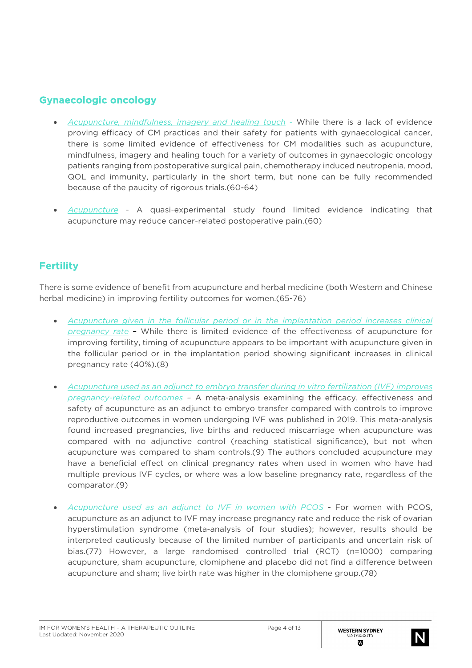### Gynaecologic oncology

- *Acupuncture, mindfulness, imagery and healing touch* While there is a lack of evidence proving efficacy of CM practices and their safety for patients with gynaecological cancer, there is some limited evidence of effectiveness for CM modalities such as acupuncture, mindfulness, imagery and healing touch for a variety of outcomes in gynaecologic oncology patients ranging from postoperative surgical pain, chemotherapy induced neutropenia, mood, QOL and immunity, particularly in the short term, but none can be fully recommended because of the paucity of rigorous trials.(60-64)
- *Acupuncture* A quasi-experimental study found limited evidence indicating that acupuncture may reduce cancer-related postoperative pain.(60)

### **Fertility**

There is some evidence of benefit from acupuncture and herbal medicine (both Western and Chinese herbal medicine) in improving fertility outcomes for women.(65-76)

- *Acupuncture given in the follicular period or in the implantation period increases clinical pregnancy rate* – While there is limited evidence of the effectiveness of acupuncture for improving fertility, timing of acupuncture appears to be important with acupuncture given in the follicular period or in the implantation period showing significant increases in clinical pregnancy rate (40%).(8)
- *Acupuncture used as an adjunct to embryo transfer during in vitro fertilization (IVF) improves pregnancy-related outcomes –* A meta-analysis examining the efficacy, effectiveness and safety of acupuncture as an adjunct to embryo transfer compared with controls to improve reproductive outcomes in women undergoing IVF was published in 2019. This meta-analysis found increased pregnancies, live births and reduced miscarriage when acupuncture was compared with no adjunctive control (reaching statistical significance), but not when acupuncture was compared to sham controls.(9) The authors concluded acupuncture may have a beneficial effect on clinical pregnancy rates when used in women who have had multiple previous IVF cycles, or where was a low baseline pregnancy rate, regardless of the comparator.(9)
- *Acupuncture used as an adjunct to IVF in women with PCOS* For women with PCOS, acupuncture as an adjunct to IVF may increase pregnancy rate and reduce the risk of ovarian hyperstimulation syndrome (meta-analysis of four studies); however, results should be interpreted cautiously because of the limited number of participants and uncertain risk of bias.(77) However, a large randomised controlled trial (RCT) (n=1000) comparing acupuncture, sham acupuncture, clomiphene and placebo did not find a difference between acupuncture and sham; live birth rate was higher in the clomiphene group.(78)

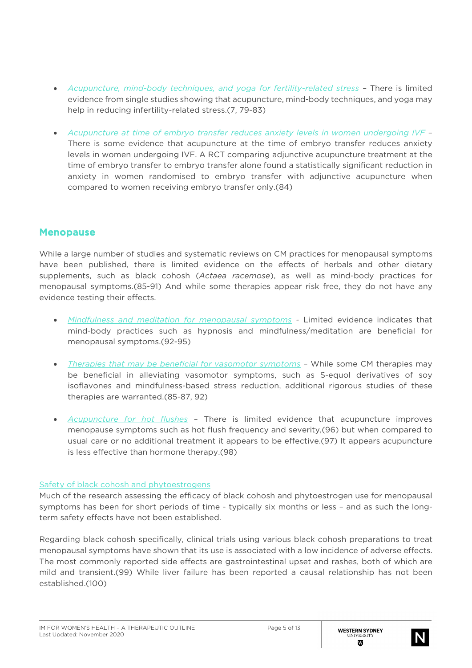- *Acupuncture, mind-body techniques, and yoga for fertility-related stress* There is limited evidence from single studies showing that acupuncture, mind-body techniques, and yoga may help in reducing infertility-related stress.(7, 79-83)
- *Acupuncture at time of embryo transfer reduces anxiety levels in women undergoing IVF –* There is some evidence that acupuncture at the time of embryo transfer reduces anxiety levels in women undergoing IVF. A RCT comparing adjunctive acupuncture treatment at the time of embryo transfer to embryo transfer alone found a statistically significant reduction in anxiety in women randomised to embryo transfer with adjunctive acupuncture when compared to women receiving embryo transfer only.(84)

### Menopause

While a large number of studies and systematic reviews on CM practices for menopausal symptoms have been published, there is limited evidence on the effects of herbals and other dietary supplements, such as black cohosh (*Actaea racemose*), as well as mind-body practices for menopausal symptoms.(85-91) And while some therapies appear risk free, they do not have any evidence testing their effects.

- *Mindfulness and meditation for menopausal symptoms -* Limited evidence indicates that mind-body practices such as hypnosis and mindfulness/meditation are beneficial for menopausal symptoms.(92-95)
- *Therapies that may be beneficial for vasomotor symptoms* While some CM therapies may be beneficial in alleviating vasomotor symptoms, such as S-equol derivatives of soy isoflavones and mindfulness-based stress reduction, additional rigorous studies of these therapies are warranted.(85-87, 92)
- *Acupuncture for hot flushes* There is limited evidence that acupuncture improves menopause symptoms such as hot flush frequency and severity,(96) but when compared to usual care or no additional treatment it appears to be effective.(97) It appears acupuncture is less effective than hormone therapy.(98)

#### Safety of black cohosh and phytoestrogens

Much of the research assessing the efficacy of black cohosh and phytoestrogen use for menopausal symptoms has been for short periods of time - typically six months or less – and as such the longterm safety effects have not been established.

Regarding black cohosh specifically, clinical trials using various black cohosh preparations to treat menopausal symptoms have shown that its use is associated with a low incidence of adverse effects. The most commonly reported side effects are gastrointestinal upset and rashes, both of which are mild and transient.(99) While liver failure has been reported a causal relationship has not been established.(100)

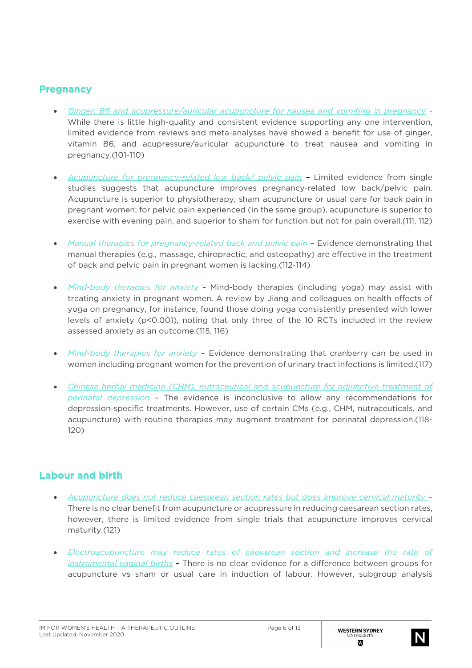#### **Pregnancy**

- *Ginger, B6 and acupressure/auricular acupuncture for nausea and vomiting in pregnancy -* While there is little high-quality and consistent evidence supporting any one intervention, limited evidence from reviews and meta-analyses have showed a benefit for use of ginger, vitamin B6, and acupressure/auricular acupuncture to treat nausea and vomiting in pregnancy.(101-110)
- *Acupuncture for pregnancy-related low back/ pelvic pain* Limited evidence from single studies suggests that acupuncture improves pregnancy-related low back/pelvic pain. Acupuncture is superior to physiotherapy, sham acupuncture or usual care for back pain in pregnant women; for pelvic pain experienced (in the same group), acupuncture is superior to exercise with evening pain, and superior to sham for function but not for pain overall.(111, 112)
- *Manual therapies for pregnancy-related back and pelvic pain* Evidence demonstrating that manual therapies (e.g., massage, chiropractic, and osteopathy) are effective in the treatment of back and pelvic pain in pregnant women is lacking.(112-114)
- *Mind-body therapies for anxiety* Mind-body therapies (including yoga) may assist with treating anxiety in pregnant women. A review by Jiang and colleagues on health effects of yoga on pregnancy, for instance, found those doing yoga consistently presented with lower levels of anxiety (p<0.001), noting that only three of the 10 RCTs included in the review assessed anxiety as an outcome.(115, 116)
- *Mind-body therapies for anxiety* Evidence demonstrating that cranberry can be used in women including pregnant women for the prevention of urinary tract infections is limited.(117)
- *Chinese herbal medicine (CHM), nutraceutical and acupuncture for adjunctive treatment of perinatal depression* – The evidence is inconclusive to allow any recommendations for depression‐specific treatments. However, use of certain CMs (e.g., CHM, nutraceuticals, and acupuncture) with routine therapies may augment treatment for perinatal depression.(118- 120)

### Labour and birth

- *Acupuncture does not reduce caesarean section rates but does improve cervical maturity*  There is no clear benefit from acupuncture or acupressure in reducing caesarean section rates, however, there is limited evidence from single trials that acupuncture improves cervical maturity.(121)
- *Electroacupuncture may reduce rates of caesarean section and increase the rate of instrumental vaginal births –* There is no clear evidence for a difference between groups for acupuncture vs sham or usual care in induction of labour. However, subgroup analysis

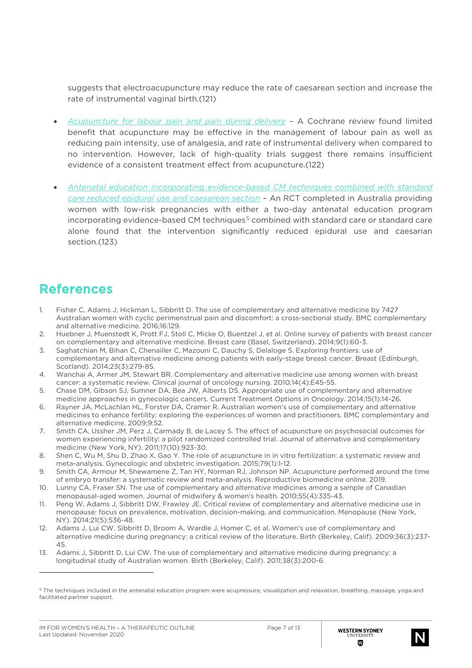suggests that electroacupuncture may reduce the rate of caesarean section and increase the rate of instrumental vaginal birth.(121)

- *Acupuncture for labour pain and pain during delivery* A Cochrane review found limited benefit that acupuncture may be effective in the management of labour pain as well as reducing pain intensity, use of analgesia, and rate of instrumental delivery when compared to no intervention. However, lack of high-quality trials suggest there remains insufficient evidence of a consistent treatment effect from acupuncture.(122)
- *Antenatal education incorporating evidence-based CM techniques combined with standard care reduced epidural use and caesarean section* – An RCT completed in Australia providing women with low-risk pregnancies with either a two-day antenatal education program incorporating evidence-based CM techniques<sup>[5](#page-6-0)</sup> combined with standard care or standard care alone found that the intervention significantly reduced epidural use and caesarian section.(123)

# References

- 1. Fisher C, Adams J, Hickman L, Sibbritt D. The use of complementary and alternative medicine by 7427 Australian women with cyclic perimenstrual pain and discomfort: a cross-sectional study. BMC complementary and alternative medicine. 2016;16:129.
- 2. Huebner J, Muenstedt K, Prott FJ, Stoll C, Micke O, Buentzel J, et al. Online survey of patients with breast cancer on complementary and alternative medicine. Breast care (Basel, Switzerland). 2014;9(1):60-3.
- 3. Saghatchian M, Bihan C, Chenailler C, Mazouni C, Dauchy S, Delaloge S. Exploring frontiers: use of complementary and alternative medicine among patients with early-stage breast cancer. Breast (Edinburgh, Scotland). 2014;23(3):279-85.
- 4. Wanchai A, Armer JM, Stewart BR. Complementary and alternative medicine use among women with breast cancer: a systematic review. Clinical journal of oncology nursing. 2010;14(4):E45-55.
- 5. Chase DM, Gibson SJ, Sumner DA, Bea JW, Alberts DS. Appropriate use of complementary and alternative medicine approaches in gynecologic cancers. Current Treatment Options in Oncology. 2014;15(1):14-26.
- 6. Rayner JA, McLachlan HL, Forster DA, Cramer R. Australian women's use of complementary and alternative medicines to enhance fertility: exploring the experiences of women and practitioners. BMC complementary and alternative medicine. 2009;9:52.
- 7. Smith CA, Ussher JM, Perz J, Carmady B, de Lacey S. The effect of acupuncture on psychosocial outcomes for women experiencing infertility: a pilot randomized controlled trial. Journal of alternative and complementary medicine (New York, NY). 2011;17(10):923-30.
- 8. Shen C, Wu M, Shu D, Zhao X, Gao Y. The role of acupuncture in in vitro fertilization: a systematic review and meta-analysis. Gynecologic and obstetric investigation. 2015;79(1):1-12.
- 9. Smith CA, Armour M, Shewamene Z, Tan HY, Norman RJ, Johnson NP. Acupuncture performed around the time of embryo transfer: a systematic review and meta-analysis. Reproductive biomedicine online. 2019.
- 10. Lunny CA, Fraser SN. The use of complementary and alternative medicines among a sample of Canadian menopausal-aged women. Journal of midwifery & women's health. 2010;55(4):335-43.
- 11. Peng W, Adams J, Sibbritt DW, Frawley JE. Critical review of complementary and alternative medicine use in menopause: focus on prevalence, motivation, decision-making, and communication. Menopause (New York, NY). 2014;21(5):536-48.
- 12. Adams J, Lui CW, Sibbritt D, Broom A, Wardle J, Homer C, et al. Women's use of complementary and alternative medicine during pregnancy: a critical review of the literature. Birth (Berkeley, Calif). 2009;36(3):237- 45.
- 13. Adams J, Sibbritt D, Lui CW. The use of complementary and alternative medicine during pregnancy: a longitudinal study of Australian women. Birth (Berkeley, Calif). 2011;38(3):200-6.



<span id="page-6-0"></span><sup>5</sup> The techniques included in the antenatal education program were acupressure, visualization and relaxation, breathing, massage, yoga and facilitated partner support.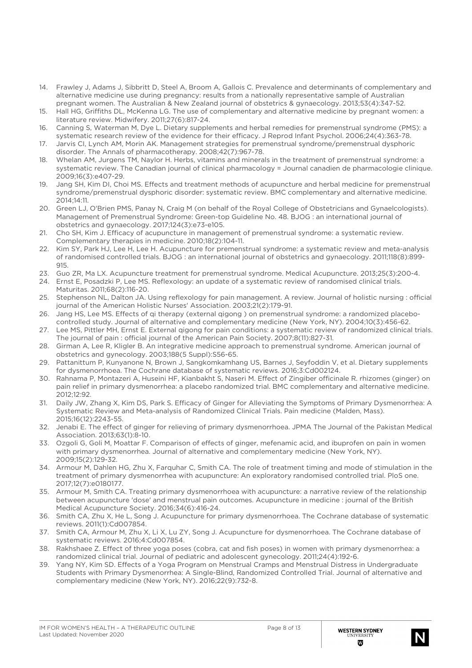- 14. Frawley J, Adams J, Sibbritt D, Steel A, Broom A, Gallois C. Prevalence and determinants of complementary and alternative medicine use during pregnancy: results from a nationally representative sample of Australian pregnant women. The Australian & New Zealand journal of obstetrics & gynaecology. 2013;53(4):347-52.
- 15. Hall HG, Griffiths DL, McKenna LG. The use of complementary and alternative medicine by pregnant women: a literature review. Midwifery. 2011;27(6):817-24.
- 16. Canning S, Waterman M, Dye L. Dietary supplements and herbal remedies for premenstrual syndrome (PMS): a systematic research review of the evidence for their efficacy. J Reprod Infant Psychol. 2006;24(4):363-78.
- 17. Jarvis CI, Lynch AM, Morin AK. Management strategies for premenstrual syndrome/premenstrual dysphoric disorder. The Annals of pharmacotherapy. 2008;42(7):967-78.
- 18. Whelan AM, Jurgens TM, Naylor H. Herbs, vitamins and minerals in the treatment of premenstrual syndrome: a systematic review. The Canadian journal of clinical pharmacology = Journal canadien de pharmacologie clinique. 2009;16(3):e407-29.
- 19. Jang SH, Kim DI, Choi MS. Effects and treatment methods of acupuncture and herbal medicine for premenstrual syndrome/premenstrual dysphoric disorder: systematic review. BMC complementary and alternative medicine. 2014;14:11.
- 20. Green LJ, O'Brien PMS, Panay N, Craig M (on behalf of the Royal College of Obstetricians and Gynaelcologists). Management of Premenstrual Syndrome: Green-top Guideline No. 48. BJOG : an international journal of obstetrics and gynaecology. 2017;124(3):e73-e105.
- 21. Cho SH, Kim J. Efficacy of acupuncture in management of premenstrual syndrome: a systematic review. Complementary therapies in medicine. 2010;18(2):104-11.
- 22. Kim SY, Park HJ, Lee H, Lee H. Acupuncture for premenstrual syndrome: a systematic review and meta-analysis of randomised controlled trials. BJOG : an international journal of obstetrics and gynaecology. 2011;118(8):899- 915.
- 23. Guo ZR, Ma LX. Acupuncture treatment for premenstrual syndrome. Medical Acupuncture. 2013;25(3):200-4.
- 24. Ernst E, Posadzki P, Lee MS. Reflexology: an update of a systematic review of randomised clinical trials. Maturitas. 2011;68(2):116-20.
- 25. Stephenson NL, Dalton JA. Using reflexology for pain management. A review. Journal of holistic nursing : official journal of the American Holistic Nurses' Association. 2003;21(2):179-91.
- 26. Jang HS, Lee MS. Effects of qi therapy (external qigong ) on premenstrual syndrome: a randomized placebocontrolled study. Journal of alternative and complementary medicine (New York, NY). 2004;10(3):456-62.
- 27. Lee MS, Pittler MH, Ernst E. External qigong for pain conditions: a systematic review of randomized clinical trials. The journal of pain : official journal of the American Pain Society. 2007;8(11):827-31.
- 28. Girman A, Lee R, Kligler B. An integrative medicine approach to premenstrual syndrome. American journal of obstetrics and gynecology. 2003;188(5 Suppl):S56-65.
- 29. Pattanittum P, Kunyanone N, Brown J, Sangkomkamhang US, Barnes J, Seyfoddin V, et al. Dietary supplements for dysmenorrhoea. The Cochrane database of systematic reviews. 2016;3:Cd002124.
- 30. Rahnama P, Montazeri A, Huseini HF, Kianbakht S, Naseri M. Effect of Zingiber officinale R. rhizomes (ginger) on pain relief in primary dysmenorrhea: a placebo randomized trial. BMC complementary and alternative medicine. 2012;12:92.
- 31. Daily JW, Zhang X, Kim DS, Park S. Efficacy of Ginger for Alleviating the Symptoms of Primary Dysmenorrhea: A Systematic Review and Meta-analysis of Randomized Clinical Trials. Pain medicine (Malden, Mass). 2015;16(12):2243-55.
- 32. Jenabi E. The effect of ginger for relieving of primary dysmenorrhoea. JPMA The Journal of the Pakistan Medical Association. 2013;63(1):8-10.
- 33. Ozgoli G, Goli M, Moattar F. Comparison of effects of ginger, mefenamic acid, and ibuprofen on pain in women with primary dysmenorrhea. Journal of alternative and complementary medicine (New York, NY). 2009;15(2):129-32.
- 34. Armour M, Dahlen HG, Zhu X, Farquhar C, Smith CA. The role of treatment timing and mode of stimulation in the treatment of primary dysmenorrhea with acupuncture: An exploratory randomised controlled trial. PloS one. 2017;12(7):e0180177.
- 35. Armour M, Smith CA. Treating primary dysmenorrhoea with acupuncture: a narrative review of the relationship between acupuncture 'dose' and menstrual pain outcomes. Acupuncture in medicine : journal of the British Medical Acupuncture Society. 2016;34(6):416-24.
- 36. Smith CA, Zhu X, He L, Song J. Acupuncture for primary dysmenorrhoea. The Cochrane database of systematic reviews. 2011(1):Cd007854.
- 37. Smith CA, Armour M, Zhu X, Li X, Lu ZY, Song J. Acupuncture for dysmenorrhoea. The Cochrane database of systematic reviews. 2016;4:Cd007854.
- 38. Rakhshaee Z. Effect of three yoga poses (cobra, cat and fish poses) in women with primary dysmenorrhea: a randomized clinical trial. Journal of pediatric and adolescent gynecology. 2011;24(4):192-6.
- 39. Yang NY, Kim SD. Effects of a Yoga Program on Menstrual Cramps and Menstrual Distress in Undergraduate Students with Primary Dysmenorrhea: A Single-Blind, Randomized Controlled Trial. Journal of alternative and complementary medicine (New York, NY). 2016;22(9):732-8.

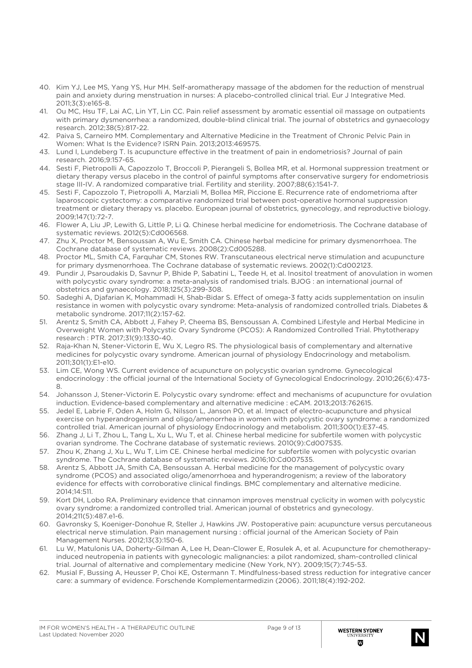- 40. Kim YJ, Lee MS, Yang YS, Hur MH. Self-aromatherapy massage of the abdomen for the reduction of menstrual pain and anxiety during menstruation in nurses: A placebo-controlled clinical trial. Eur J Integrative Med. 2011;3(3):e165-8.
- 41. Ou MC, Hsu TF, Lai AC, Lin YT, Lin CC. Pain relief assessment by aromatic essential oil massage on outpatients with primary dysmenorrhea: a randomized, double-blind clinical trial. The journal of obstetrics and gynaecology research. 2012;38(5):817-22.
- 42. Paiva S, Carneiro MM. Complementary and Alternative Medicine in the Treatment of Chronic Pelvic Pain in Women: What Is the Evidence? ISRN Pain. 2013;2013:469575.
- 43. Lund I, Lundeberg T. Is acupuncture effective in the treatment of pain in endometriosis? Journal of pain research. 2016;9:157-65.
- 44. Sesti F, Pietropolli A, Capozzolo T, Broccoli P, Pierangeli S, Bollea MR, et al. Hormonal suppression treatment or dietary therapy versus placebo in the control of painful symptoms after conservative surgery for endometriosis stage III-IV. A randomized comparative trial. Fertility and sterility. 2007;88(6):1541-7.
- 45. Sesti F, Capozzolo T, Pietropolli A, Marziali M, Bollea MR, Piccione E. Recurrence rate of endometrioma after laparoscopic cystectomy: a comparative randomized trial between post-operative hormonal suppression treatment or dietary therapy vs. placebo. European journal of obstetrics, gynecology, and reproductive biology. 2009;147(1):72-7.
- 46. Flower A, Liu JP, Lewith G, Little P, Li Q. Chinese herbal medicine for endometriosis. The Cochrane database of systematic reviews. 2012(5):Cd006568.
- 47. Zhu X, Proctor M, Bensoussan A, Wu E, Smith CA. Chinese herbal medicine for primary dysmenorrhoea. The Cochrane database of systematic reviews. 2008(2):Cd005288.
- 48. Proctor ML, Smith CA, Farquhar CM, Stones RW. Transcutaneous electrical nerve stimulation and acupuncture for primary dysmenorrhoea. The Cochrane database of systematic reviews. 2002(1):Cd002123.
- 49. Pundir J, Psaroudakis D, Savnur P, Bhide P, Sabatini L, Teede H, et al. Inositol treatment of anovulation in women with polycystic ovary syndrome: a meta-analysis of randomised trials. BJOG : an international journal of obstetrics and gynaecology. 2018;125(3):299-308.
- 50. Sadeghi A, Djafarian K, Mohammadi H, Shab-Bidar S. Effect of omega-3 fatty acids supplementation on insulin resistance in women with polycystic ovary syndrome: Meta-analysis of randomized controlled trials. Diabetes & metabolic syndrome. 2017;11(2):157-62.
- 51. Arentz S, Smith CA, Abbott J, Fahey P, Cheema BS, Bensoussan A. Combined Lifestyle and Herbal Medicine in Overweight Women with Polycystic Ovary Syndrome (PCOS): A Randomized Controlled Trial. Phytotherapy research : PTR. 2017;31(9):1330-40.
- 52. Raja-Khan N, Stener-Victorin E, Wu X, Legro RS. The physiological basis of complementary and alternative medicines for polycystic ovary syndrome. American journal of physiology Endocrinology and metabolism. 2011;301(1):E1-e10.
- 53. Lim CE, Wong WS. Current evidence of acupuncture on polycystic ovarian syndrome. Gynecological endocrinology : the official journal of the International Society of Gynecological Endocrinology. 2010;26(6):473- 8.
- 54. Johansson J, Stener-Victorin E. Polycystic ovary syndrome: effect and mechanisms of acupuncture for ovulation induction. Evidence-based complementary and alternative medicine : eCAM. 2013;2013:762615.
- 55. Jedel E, Labrie F, Oden A, Holm G, Nilsson L, Janson PO, et al. Impact of electro-acupuncture and physical exercise on hyperandrogenism and oligo/amenorrhea in women with polycystic ovary syndrome: a randomized controlled trial. American journal of physiology Endocrinology and metabolism. 2011;300(1):E37-45.
- 56. Zhang J, Li T, Zhou L, Tang L, Xu L, Wu T, et al. Chinese herbal medicine for subfertile women with polycystic ovarian syndrome. The Cochrane database of systematic reviews. 2010(9):Cd007535.
- 57. Zhou K, Zhang J, Xu L, Wu T, Lim CE. Chinese herbal medicine for subfertile women with polycystic ovarian syndrome. The Cochrane database of systematic reviews. 2016;10:Cd007535.
- 58. Arentz S, Abbott JA, Smith CA, Bensoussan A. Herbal medicine for the management of polycystic ovary syndrome (PCOS) and associated oligo/amenorrhoea and hyperandrogenism; a review of the laboratory evidence for effects with corroborative clinical findings. BMC complementary and alternative medicine. 2014;14:511.
- 59. Kort DH, Lobo RA. Preliminary evidence that cinnamon improves menstrual cyclicity in women with polycystic ovary syndrome: a randomized controlled trial. American journal of obstetrics and gynecology. 2014;211(5):487.e1-6.
- 60. Gavronsky S, Koeniger-Donohue R, Steller J, Hawkins JW. Postoperative pain: acupuncture versus percutaneous electrical nerve stimulation. Pain management nursing : official journal of the American Society of Pain Management Nurses. 2012;13(3):150-6.
- 61. Lu W, Matulonis UA, Doherty-Gilman A, Lee H, Dean-Clower E, Rosulek A, et al. Acupuncture for chemotherapyinduced neutropenia in patients with gynecologic malignancies: a pilot randomized, sham-controlled clinical trial. Journal of alternative and complementary medicine (New York, NY). 2009;15(7):745-53.
- 62. Musial F, Bussing A, Heusser P, Choi KE, Ostermann T. Mindfulness-based stress reduction for integrative cancer care: a summary of evidence. Forschende Komplementarmedizin (2006). 2011;18(4):192-202.

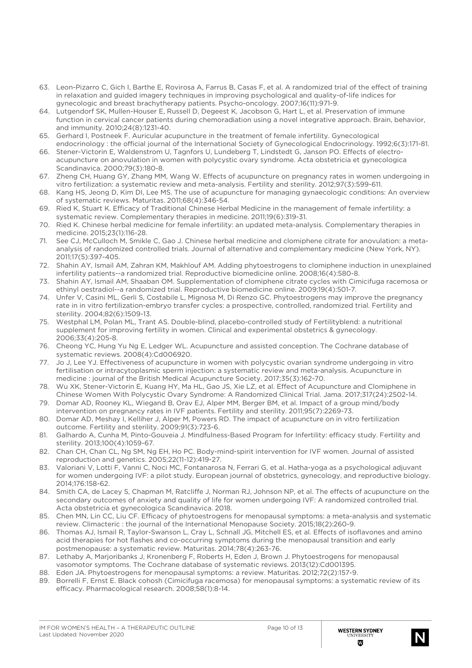- 63. Leon-Pizarro C, Gich I, Barthe E, Rovirosa A, Farrus B, Casas F, et al. A randomized trial of the effect of training in relaxation and guided imagery techniques in improving psychological and quality-of-life indices for gynecologic and breast brachytherapy patients. Psycho-oncology. 2007;16(11):971-9.
- 64. Lutgendorf SK, Mullen-Houser E, Russell D, Degeest K, Jacobson G, Hart L, et al. Preservation of immune function in cervical cancer patients during chemoradiation using a novel integrative approach. Brain, behavior, and immunity. 2010;24(8):1231-40.
- 65. Gerhard I, Postneek F. Auricular acupuncture in the treatment of female infertility. Gynecological endocrinology : the official journal of the International Society of Gynecological Endocrinology. 1992;6(3):171-81.
- 66. Stener-Victorin E, Waldenstrom U, Tagnfors U, Lundeberg T, Lindstedt G, Janson PO. Effects of electroacupuncture on anovulation in women with polycystic ovary syndrome. Acta obstetricia et gynecologica Scandinavica. 2000;79(3):180-8.
- 67. Zheng CH, Huang GY, Zhang MM, Wang W. Effects of acupuncture on pregnancy rates in women undergoing in vitro fertilization: a systematic review and meta-analysis. Fertility and sterility. 2012;97(3):599-611.
- 68. Kang HS, Jeong D, Kim DI, Lee MS. The use of acupuncture for managing gynaecologic conditions: An overview of systematic reviews. Maturitas. 2011;68(4):346-54.
- 69. Ried K, Stuart K. Efficacy of Traditional Chinese Herbal Medicine in the management of female infertility: a systematic review. Complementary therapies in medicine. 2011;19(6):319-31.
- 70. Ried K. Chinese herbal medicine for female infertility: an updated meta-analysis. Complementary therapies in medicine. 2015;23(1):116-28.
- 71. See CJ, McCulloch M, Smikle C, Gao J. Chinese herbal medicine and clomiphene citrate for anovulation: a metaanalysis of randomized controlled trials. Journal of alternative and complementary medicine (New York, NY). 2011;17(5):397-405.
- 72. Shahin AY, Ismail AM, Zahran KM, Makhlouf AM. Adding phytoestrogens to clomiphene induction in unexplained infertility patients--a randomized trial. Reproductive biomedicine online. 2008;16(4):580-8.
- 73. Shahin AY, Ismail AM, Shaaban OM. Supplementation of clomiphene citrate cycles with Cimicifuga racemosa or ethinyl oestradiol--a randomized trial. Reproductive biomedicine online. 2009;19(4):501-7.
- 74. Unfer V, Casini ML, Gerli S, Costabile L, Mignosa M, Di Renzo GC. Phytoestrogens may improve the pregnancy rate in in vitro fertilization-embryo transfer cycles: a prospective, controlled, randomized trial. Fertility and sterility. 2004;82(6):1509-13.
- 75. Westphal LM, Polan ML, Trant AS. Double-blind, placebo-controlled study of Fertilityblend: a nutritional supplement for improving fertility in women. Clinical and experimental obstetrics & gynecology. 2006;33(4):205-8.
- 76. Cheong YC, Hung Yu Ng E, Ledger WL. Acupuncture and assisted conception. The Cochrane database of systematic reviews. 2008(4):Cd006920.
- 77. Jo J, Lee YJ. Effectiveness of acupuncture in women with polycystic ovarian syndrome undergoing in vitro fertilisation or intracytoplasmic sperm injection: a systematic review and meta-analysis. Acupuncture in medicine : journal of the British Medical Acupuncture Society. 2017;35(3):162-70.
- 78. Wu XK, Stener-Victorin E, Kuang HY, Ma HL, Gao JS, Xie LZ, et al. Effect of Acupuncture and Clomiphene in Chinese Women With Polycystic Ovary Syndrome: A Randomized Clinical Trial. Jama. 2017;317(24):2502-14.
- 79. Domar AD, Rooney KL, Wiegand B, Orav EJ, Alper MM, Berger BM, et al. Impact of a group mind/body intervention on pregnancy rates in IVF patients. Fertility and sterility. 2011;95(7):2269-73.
- 80. Domar AD, Meshay I, Kelliher J, Alper M, Powers RD. The impact of acupuncture on in vitro fertilization outcome. Fertility and sterility. 2009;91(3):723-6.
- 81. Galhardo A, Cunha M, Pinto-Gouveia J. Mindfulness-Based Program for Infertility: efficacy study. Fertility and sterility. 2013;100(4):1059-67.
- 82. Chan CH, Chan CL, Ng SM, Ng EH, Ho PC. Body-mind-spirit intervention for IVF women. Journal of assisted reproduction and genetics. 2005;22(11-12):419-27.
- 83. Valoriani V, Lotti F, Vanni C, Noci MC, Fontanarosa N, Ferrari G, et al. Hatha-yoga as a psychological adjuvant for women undergoing IVF: a pilot study. European journal of obstetrics, gynecology, and reproductive biology. 2014;176:158-62.
- 84. Smith CA, de Lacey S, Chapman M, Ratcliffe J, Norman RJ, Johnson NP, et al. The effects of acupuncture on the secondary outcomes of anxiety and quality of life for women undergoing IVF: A randomized controlled trial. Acta obstetricia et gynecologica Scandinavica. 2018.
- 85. Chen MN, Lin CC, Liu CF. Efficacy of phytoestrogens for menopausal symptoms: a meta-analysis and systematic review. Climacteric : the journal of the International Menopause Society. 2015;18(2):260-9.
- 86. Thomas AJ, Ismail R, Taylor-Swanson L, Cray L, Schnall JG, Mitchell ES, et al. Effects of isoflavones and amino acid therapies for hot flashes and co-occurring symptoms during the menopausal transition and early postmenopause: a systematic review. Maturitas. 2014;78(4):263-76.
- 87. Lethaby A, Marjoribanks J, Kronenberg F, Roberts H, Eden J, Brown J. Phytoestrogens for menopausal vasomotor symptoms. The Cochrane database of systematic reviews. 2013(12):Cd001395.
- 88. Eden JA. Phytoestrogens for menopausal symptoms: a review. Maturitas. 2012;72(2):157-9.
- 89. Borrelli F, Ernst E. Black cohosh (Cimicifuga racemosa) for menopausal symptoms: a systematic review of its efficacy. Pharmacological research. 2008;58(1):8-14.

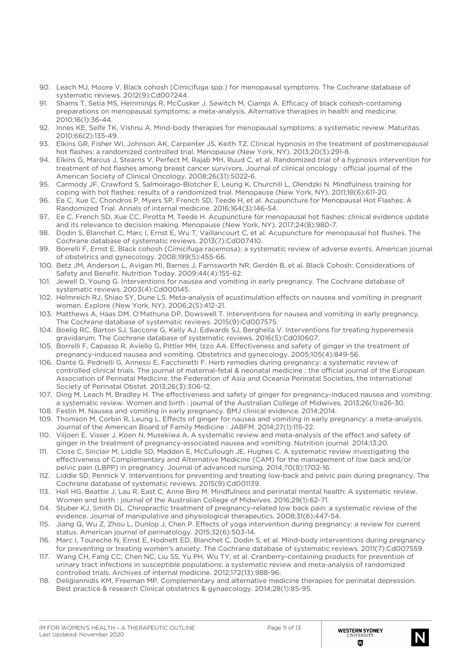- 90. Leach MJ, Moore V. Black cohosh (Cimicifuga spp.) for menopausal symptoms. The Cochrane database of systematic reviews. 2012(9):Cd007244.
- 91. Shams T, Setia MS, Hemmings R, McCusker J, Sewitch M, Ciampi A. Efficacy of black cohosh-containing preparations on menopausal symptoms: a meta-analysis. Alternative therapies in health and medicine. 2010;16(1):36-44.
- 92. Innes KE, Selfe TK, Vishnu A. Mind-body therapies for menopausal symptoms: a systematic review. Maturitas. 2010;66(2):135-49.
- 93. Elkins GR, Fisher WI, Johnson AK, Carpenter JS, Keith TZ. Clinical hypnosis in the treatment of postmenopausal hot flashes: a randomized controlled trial. Menopause (New York, NY). 2013;20(3):291-8.
- 94. Elkins G, Marcus J, Stearns V, Perfect M, Rajab MH, Ruud C, et al. Randomized trial of a hypnosis intervention for treatment of hot flashes among breast cancer survivors. Journal of clinical oncology : official journal of the American Society of Clinical Oncology. 2008;26(31):5022-6.
- 95. Carmody JF, Crawford S, Salmoirago-Blotcher E, Leung K, Churchill L, Olendzki N. Mindfulness training for coping with hot flashes: results of a randomized trial. Menopause (New York, NY). 2011;18(6):611-20.
- 96. Ee C, Xue C, Chondros P, Myers SP, French SD, Teede H, et al. Acupuncture for Menopausal Hot Flashes: A Randomized Trial. Annals of internal medicine. 2016;164(3):146-54.
- 97. Ee C, French SD, Xue CC, Pirotta M, Teede H. Acupuncture for menopausal hot flashes: clinical evidence update and its relevance to decision making. Menopause (New York, NY). 2017;24(8):980-7.
- 98. Dodin S, Blanchet C, Marc I, Ernst E, Wu T, Vaillancourt C, et al. Acupuncture for menopausal hot flushes. The Cochrane database of systematic reviews. 2013(7):Cd007410.
- 99. Borrelli F, Ernst E. Black cohosh (Cimicifuga racemosa): a systematic review of adverse events. American journal of obstetrics and gynecology. 2008;199(5):455-66.
- 100. Betz JM, Anderson L, Avigan MI, Barnes J, Farnsworth NR, Gerdén B, et al. Black Cohosh: Considerations of Safety and Benefit. Nutrition Today. 2009;44(4):155-62.
- 101. Jewell D, Young G. Interventions for nausea and vomiting in early pregnancy. The Cochrane database of systematic reviews. 2003(4):Cd000145.
- 102. Helmreich RJ, Shiao SY, Dune LS. Meta-analysis of acustimulation effects on nausea and vomiting in pregnant women. Explore (New York, NY). 2006;2(5):412-21.
- 103. Matthews A, Haas DM, O'Mathuna DP, Dowswell T. Interventions for nausea and vomiting in early pregnancy. The Cochrane database of systematic reviews. 2015(9):Cd007575.
- 104. Boelig RC, Barton SJ, Saccone G, Kelly AJ, Edwards SJ, Berghella V. Interventions for treating hyperemesis gravidarum. The Cochrane database of systematic reviews. 2016(5):Cd010607.
- 105. Borrelli F, Capasso R, Aviello G, Pittler MH, Izzo AA. Effectiveness and safety of ginger in the treatment of pregnancy-induced nausea and vomiting. Obstetrics and gynecology. 2005;105(4):849-56.
- 106. Dante G, Pedrielli G, Annessi E, Facchinetti F. Herb remedies during pregnancy: a systematic review of controlled clinical trials. The journal of maternal-fetal & neonatal medicine : the official journal of the European Association of Perinatal Medicine, the Federation of Asia and Oceania Perinatal Societies, the International Society of Perinatal Obstet. 2013;26(3):306-12.
- 107. Ding M, Leach M, Bradley H. The effectiveness and safety of ginger for pregnancy-induced nausea and vomiting: a systematic review. Women and birth : journal of the Australian College of Midwives. 2013;26(1):e26-30.
- 108. Festin M. Nausea and vomiting in early pregnancy. BMJ clinical evidence. 2014;2014.
- 109. Thomson M, Corbin R, Leung L. Effects of ginger for nausea and vomiting in early pregnancy: a meta-analysis. Journal of the American Board of Family Medicine : JABFM. 2014;27(1):115-22.
- 110. Viljoen E, Visser J, Koen N, Musekiwa A. A systematic review and meta-analysis of the effect and safety of ginger in the treatment of pregnancy-associated nausea and vomiting. Nutrition journal. 2014;13:20.
- 111. Close C, Sinclair M, Liddle SD, Madden E, McCullough JE, Hughes C. A systematic review investigating the effectiveness of Complementary and Alternative Medicine (CAM) for the management of low back and/or pelvic pain (LBPP) in pregnancy. Journal of advanced nursing. 2014;70(8):1702-16.
- 112. Liddle SD, Pennick V. Interventions for preventing and treating low-back and pelvic pain during pregnancy. The Cochrane database of systematic reviews. 2015(9):Cd001139.
- 113. Hall HG, Beattie J, Lau R, East C, Anne Biro M. Mindfulness and perinatal mental health: A systematic review. Women and birth : journal of the Australian College of Midwives. 2016;29(1):62-71.
- 114. Stuber KJ, Smith DL. Chiropractic treatment of pregnancy-related low back pain: a systematic review of the evidence. Journal of manipulative and physiological therapeutics. 2008;31(6):447-54.
- 115. Jiang Q, Wu Z, Zhou L, Dunlop J, Chen P. Effects of yoga intervention during pregnancy: a review for current status. American journal of perinatology. 2015;32(6):503-14.
- 116. Marc I, Toureche N, Ernst E, Hodnett ED, Blanchet C, Dodin S, et al. Mind-body interventions during pregnancy for preventing or treating women's anxiety. The Cochrane database of systematic reviews. 2011(7):Cd007559.
- 117. Wang CH, Fang CC, Chen NC, Liu SS, Yu PH, Wu TY, et al. Cranberry-containing products for prevention of urinary tract infections in susceptible populations: a systematic review and meta-analysis of randomized controlled trials. Archives of internal medicine. 2012;172(13):988-96.
- 118. Deligiannidis KM, Freeman MP. Complementary and alternative medicine therapies for perinatal depression. Best practice & research Clinical obstetrics & gynaecology. 2014;28(1):85-95.

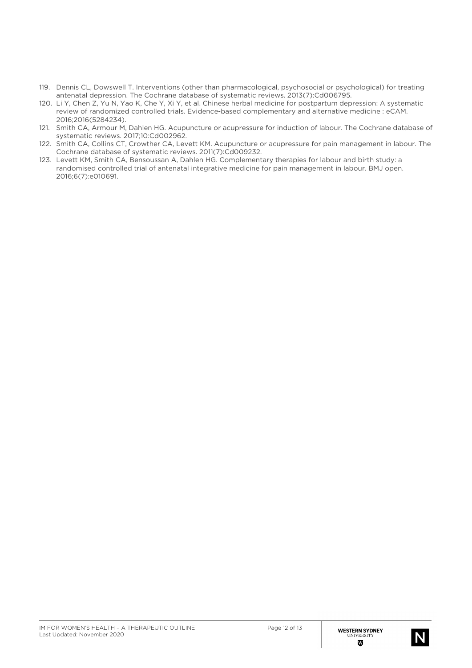- 119. Dennis CL, Dowswell T. Interventions (other than pharmacological, psychosocial or psychological) for treating antenatal depression. The Cochrane database of systematic reviews. 2013(7):Cd006795.
- 120. Li Y, Chen Z, Yu N, Yao K, Che Y, Xi Y, et al. Chinese herbal medicine for postpartum depression: A systematic review of randomized controlled trials. Evidence-based complementary and alternative medicine : eCAM. 2016;2016(5284234).
- 121. Smith CA, Armour M, Dahlen HG. Acupuncture or acupressure for induction of labour. The Cochrane database of systematic reviews. 2017;10:Cd002962.
- 122. Smith CA, Collins CT, Crowther CA, Levett KM. Acupuncture or acupressure for pain management in labour. The Cochrane database of systematic reviews. 2011(7):Cd009232.
- 123. Levett KM, Smith CA, Bensoussan A, Dahlen HG. Complementary therapies for labour and birth study: a randomised controlled trial of antenatal integrative medicine for pain management in labour. BMJ open. 2016;6(7):e010691.